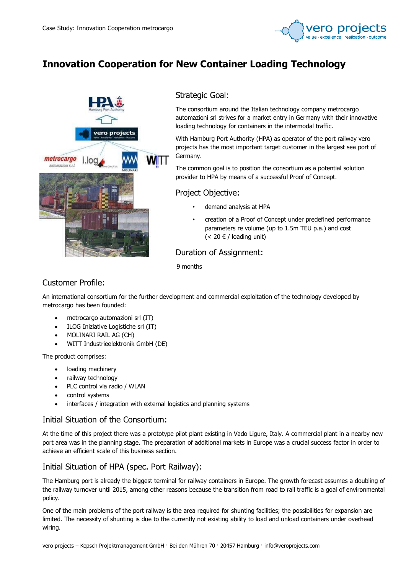

# Innovation Cooperation for New Container Loading Technology



# Strategic Goal:

The consortium around the Italian technology company metrocargo automazioni srl strives for a market entry in Germany with their innovative loading technology for containers in the intermodal traffic.

With Hamburg Port Authority (HPA) as operator of the port railway vero projects has the most important target customer in the largest sea port of Germany.

The common goal is to position the consortium as a potential solution provider to HPA by means of a successful Proof of Concept.

## Project Objective:

- demand analysis at HPA
- creation of a Proof of Concept under predefined performance parameters re volume (up to 1.5m TEU p.a.) and cost  $(< 20 \in /$  loading unit)

# Duration of Assignment:

9 months

# Customer Profile:

An international consortium for the further development and commercial exploitation of the technology developed by metrocargo has been founded:

- metrocargo automazioni srl (IT)
- ILOG Iniziative Logistiche srl (IT)
- MOLINARI RAIL AG (CH)
- WITT Industrieelektronik GmbH (DE)

The product comprises:

- loading machinery
- railway technology
- PLC control via radio / WLAN
- control systems
- interfaces / integration with external logistics and planning systems

#### Initial Situation of the Consortium:

At the time of this project there was a prototype pilot plant existing in Vado Ligure, Italy. A commercial plant in a nearby new port area was in the planning stage. The preparation of additional markets in Europe was a crucial success factor in order to achieve an efficient scale of this business section.

# Initial Situation of HPA (spec. Port Railway):

The Hamburg port is already the biggest terminal for railway containers in Europe. The growth forecast assumes a doubling of the railway turnover until 2015, among other reasons because the transition from road to rail traffic is a goal of environmental policy.

One of the main problems of the port railway is the area required for shunting facilities; the possibilities for expansion are limited. The necessity of shunting is due to the currently not existing ability to load and unload containers under overhead wiring.